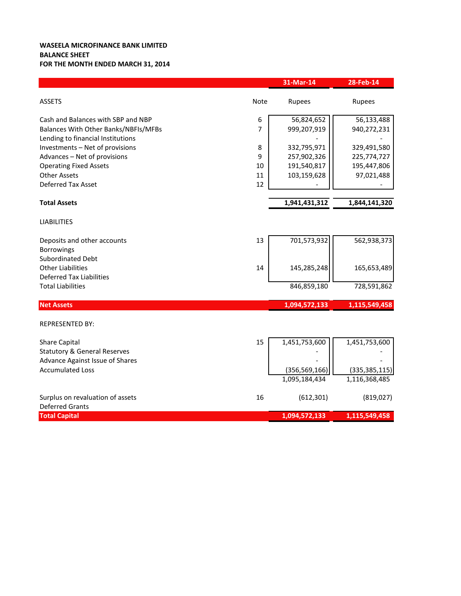## **WASEELA MICROFINANCE BANK LIMITED BALANCE SHEET FOR THE MONTH ENDED MARCH 31, 2014**

|                                                                                                                 |             | 31-Mar-14                        | 28-Feb-14                        |
|-----------------------------------------------------------------------------------------------------------------|-------------|----------------------------------|----------------------------------|
| <b>ASSETS</b>                                                                                                   | <b>Note</b> | Rupees                           | Rupees                           |
| Cash and Balances with SBP and NBP<br>Balances With Other Banks/NBFIs/MFBs<br>Lending to financial Institutions | 6<br>7      | 56,824,652<br>999,207,919        | 56,133,488<br>940,272,231        |
| Investments - Net of provisions<br>Advances - Net of provisions                                                 | 8<br>9      | 332,795,971<br>257,902,326       | 329,491,580<br>225,774,727       |
| <b>Operating Fixed Assets</b><br><b>Other Assets</b>                                                            | 10<br>11    | 191,540,817<br>103,159,628       | 195,447,806<br>97,021,488        |
| <b>Deferred Tax Asset</b><br><b>Total Assets</b>                                                                | 12          | 1,941,431,312                    | 1,844,141,320                    |
| <b>LIABILITIES</b>                                                                                              |             |                                  |                                  |
| Deposits and other accounts<br><b>Borrowings</b>                                                                | 13          | 701,573,932                      | 562,938,373                      |
| <b>Subordinated Debt</b><br><b>Other Liabilities</b><br><b>Deferred Tax Liabilities</b>                         | 14          | 145,285,248                      | 165,653,489                      |
| <b>Total Liabilities</b>                                                                                        |             | 846,859,180                      | 728,591,862                      |
| <b>Net Assets</b>                                                                                               |             | 1,094,572,133                    | 1,115,549,458                    |
| <b>REPRESENTED BY:</b>                                                                                          |             |                                  |                                  |
| <b>Share Capital</b><br><b>Statutory &amp; General Reserves</b><br><b>Advance Against Issue of Shares</b>       | 15          | 1,451,753,600                    | 1,451,753,600                    |
| <b>Accumulated Loss</b>                                                                                         |             | (356, 569, 166)<br>1,095,184,434 | (335, 385, 115)<br>1,116,368,485 |
| Surplus on revaluation of assets<br><b>Deferred Grants</b>                                                      | 16          | (612, 301)                       | (819, 027)                       |
| <b>Total Capital</b>                                                                                            |             | 1,094,572,133                    | 1,115,549,458                    |